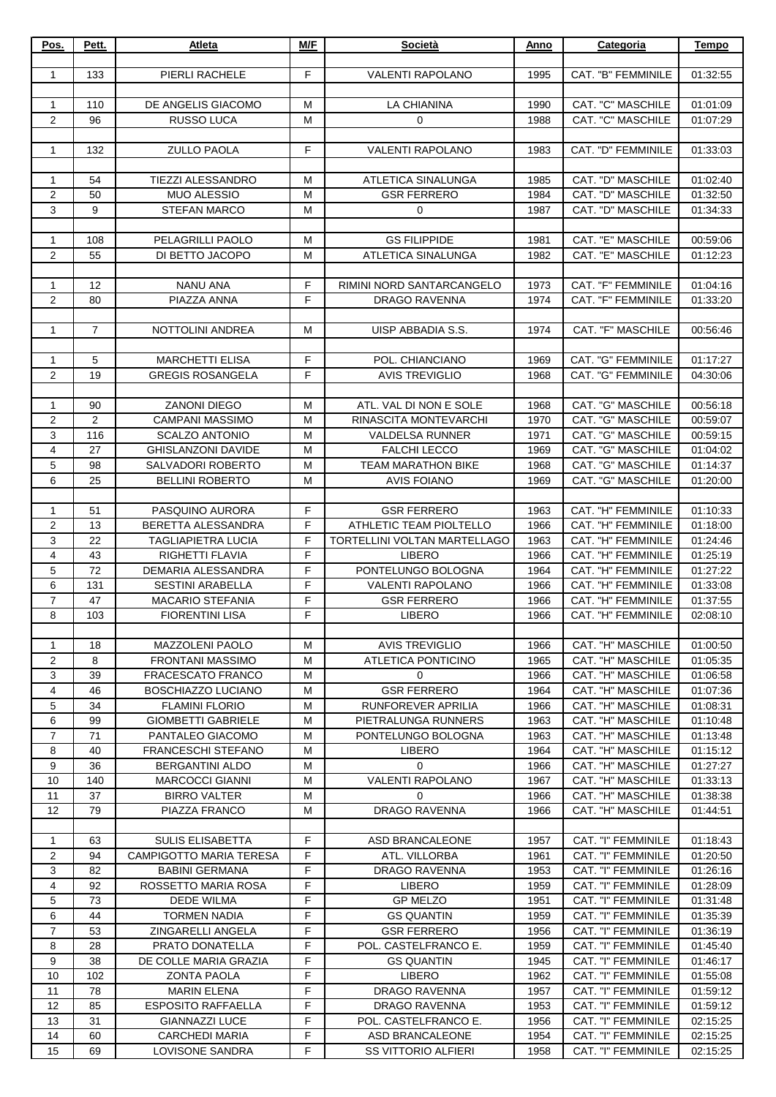| Pos.             | Pett.           | Atleta                                             | M/F    | Società                               | Anno         | Categoria                              | Tempo                |
|------------------|-----------------|----------------------------------------------------|--------|---------------------------------------|--------------|----------------------------------------|----------------------|
|                  |                 |                                                    |        |                                       |              |                                        |                      |
| 1                | 133             | PIERLI RACHELE                                     | F      | <b>VALENTI RAPOLANO</b>               | 1995         | CAT. "B" FEMMINILE                     | 01:32:55             |
|                  |                 |                                                    |        |                                       |              |                                        |                      |
| $\mathbf{1}$     | 110             | DE ANGELIS GIACOMO                                 | м      | LA CHIANINA                           | 1990         | <b>CAT. "C" MASCHILE</b>               | 01:01:09             |
| $\mathbf{2}$     | 96              | <b>RUSSO LUCA</b>                                  | M      | 0                                     | 1988         | <b>CAT. "C" MASCHILE</b>               | 01:07:29             |
|                  |                 |                                                    |        |                                       |              |                                        |                      |
| 1                | 132             | <b>ZULLO PAOLA</b>                                 | F      | <b>VALENTI RAPOLANO</b>               | 1983         | CAT. "D" FEMMINILE                     | 01:33:03             |
|                  |                 |                                                    |        |                                       |              |                                        |                      |
| $\mathbf{1}$     | 54              | <b>TIEZZI ALESSANDRO</b>                           | M      | <b>ATLETICA SINALUNGA</b>             | 1985         | CAT. "D" MASCHILE                      | 01:02:40             |
| 2                | 50              | <b>MUO ALESSIO</b>                                 | M      | <b>GSR FERRERO</b>                    | 1984         | CAT. "D" MASCHILE                      | 01:32:50             |
| 3                | 9               | <b>STEFAN MARCO</b>                                | M      | 0                                     | 1987         | CAT. "D" MASCHILE                      | 01:34:33             |
| 1                | 108             | PELAGRILLI PAOLO                                   | м      | <b>GS FILIPPIDE</b>                   | 1981         | CAT. "E" MASCHILE                      | 00:59:06             |
| 2                | 55              | DI BETTO JACOPO                                    | M      | ATLETICA SINALUNGA                    | 1982         | CAT. "E" MASCHILE                      | 01:12:23             |
|                  |                 |                                                    |        |                                       |              |                                        |                      |
| $\mathbf{1}$     | 12              | <b>NANU ANA</b>                                    | F      | RIMINI NORD SANTARCANGELO             | 1973         | CAT. "F" FEMMINILE                     | 01:04:16             |
| $\overline{2}$   | 80              | PIAZZA ANNA                                        | F      | DRAGO RAVENNA                         | 1974         | <b>CAT. "F" FEMMINILE</b>              | 01:33:20             |
|                  |                 |                                                    |        |                                       |              |                                        |                      |
| $\mathbf{1}$     | $\overline{7}$  | NOTTOLINI ANDREA                                   | M      | UISP ABBADIA S.S.                     | 1974         | CAT. "F" MASCHILE                      | 00:56:46             |
|                  |                 |                                                    |        |                                       |              |                                        |                      |
| 1                | 5               | <b>MARCHETTI ELISA</b>                             | F      | POL. CHIANCIANO                       | 1969         | CAT. "G" FEMMINILE                     | 01:17:27             |
| 2                | 19              | <b>GREGIS ROSANGELA</b>                            | F      | <b>AVIS TREVIGLIO</b>                 | 1968         | CAT. "G" FEMMINILE                     | 04:30:06             |
|                  |                 |                                                    |        |                                       |              |                                        |                      |
| 1                | 90              | <b>ZANONI DIEGO</b>                                | м      | ATL. VAL DI NON E SOLE                | 1968         | CAT. "G" MASCHILE                      | 00:56:18             |
| $\boldsymbol{2}$ | $\overline{2}$  | <b>CAMPANI MASSIMO</b>                             | M      | RINASCITA MONTEVARCHI                 | 1970         | CAT. "G" MASCHILE                      | 00:59:07             |
| 3                | 116             | <b>SCALZO ANTONIO</b>                              | M      | <b>VALDELSA RUNNER</b>                | 1971         | CAT. "G" MASCHILE                      | 00:59:15             |
| 4                | 27              | GHISLANZONI DAVIDE                                 | M      | <b>FALCHI LECCO</b>                   | 1969         | CAT. "G" MASCHILE                      | 01:04:02             |
| 5                | $\overline{98}$ | SALVADORI ROBERTO                                  | M      | <b>TEAM MARATHON BIKE</b>             | 1968         | CAT. "G" MASCHILE                      | 01:14:37             |
| 6                | 25              | <b>BELLINI ROBERTO</b>                             | M      | <b>AVIS FOIANO</b>                    | 1969         | CAT. "G" MASCHILE                      | 01:20:00             |
|                  |                 |                                                    |        |                                       |              |                                        |                      |
| $\mathbf{1}$     | 51              | PASQUINO AURORA                                    | F      | <b>GSR FERRERO</b>                    | 1963         | CAT. "H" FEMMINILE                     | 01:10:33             |
| 2                | 13              | BERETTA ALESSANDRA                                 | F      | ATHLETIC TEAM PIOLTELLO               | 1966         | CAT. "H" FEMMINILE                     | 01:18:00             |
| 3                | 22              | <b>TAGLIAPIETRA LUCIA</b>                          | F      | TORTELLINI VOLTAN MARTELLAGO          | 1963         | CAT. "H" FEMMINILE                     | 01:24:46             |
| 4                | 43              | RIGHETTI FLAVIA                                    | F      | <b>LIBERO</b>                         | 1966         | CAT. "H" FEMMINILE                     | 01:25:19             |
| 5                | 72              | DEMARIA ALESSANDRA                                 | F      | PONTELUNGO BOLOGNA                    | 1964         | CAT. "H" FEMMINILE                     | 01:27:22             |
| 6                | 131             | <b>SESTINI ARABELLA</b>                            | F      | <b>VALENTI RAPOLANO</b>               | 1966         | CAT. "H" FEMMINILE                     | 01:33:08             |
| $\overline{7}$   | 47              | <b>MACARIO STEFANIA</b>                            | F      | <b>GSR FERRERO</b>                    | 1966         | CAT. "H" FEMMINILE                     | 01:37:55             |
| 8                | 103             | <b>FIORENTINI LISA</b>                             | F      | <b>LIBERO</b>                         | 1966         | CAT. "H" FEMMINILE                     | 02:08:10             |
|                  |                 |                                                    |        |                                       |              |                                        |                      |
| 1                | 18              | MAZZOLENI PAOLO                                    | м      | <b>AVIS TREVIGLIO</b>                 | 1966         | CAT. "H" MASCHILE                      | 01:00:50             |
| 2                | 8<br>39         | <b>FRONTANI MASSIMO</b>                            | M      | <b>ATLETICA PONTICINO</b><br>$\Omega$ | 1965         | CAT. "H" MASCHILE                      | 01:05:35             |
| 3<br>4           | 46              | <b>FRACESCATO FRANCO</b>                           | м<br>м | <b>GSR FERRERO</b>                    | 1966         | CAT. "H" MASCHILE<br>CAT. "H" MASCHILE | 01:06:58<br>01:07:36 |
| 5                | 34              | <b>BOSCHIAZZO LUCIANO</b><br><b>FLAMINI FLORIO</b> | M      | RUNFOREVER APRILIA                    | 1964<br>1966 | CAT. "H" MASCHILE                      | 01:08:31             |
| 6                | 99              | <b>GIOMBETTI GABRIELE</b>                          | M      | PIETRALUNGA RUNNERS                   | 1963         | CAT. "H" MASCHILE                      | 01:10:48             |
| $\overline{7}$   | 71              | PANTALEO GIACOMO                                   | M      | PONTELUNGO BOLOGNA                    | 1963         | CAT. "H" MASCHILE                      | 01:13:48             |
| 8                | 40              | <b>FRANCESCHI STEFANO</b>                          | M      | <b>LIBERO</b>                         | 1964         | CAT. "H" MASCHILE                      | 01:15:12             |
| 9                | 36              | <b>BERGANTINI ALDO</b>                             | м      | 0                                     | 1966         | CAT. "H" MASCHILE                      | 01:27:27             |
| 10               | 140             | <b>MARCOCCI GIANNI</b>                             | м      | <b>VALENTI RAPOLANO</b>               | 1967         | CAT. "H" MASCHILE                      | 01:33:13             |
| 11               | 37              | <b>BIRRO VALTER</b>                                | M      | $\mathbf 0$                           | 1966         | CAT. "H" MASCHILE                      | 01:38:38             |
| 12               | 79              | PIAZZA FRANCO                                      | м      | DRAGO RAVENNA                         | 1966         | CAT. "H" MASCHILE                      | 01:44:51             |
|                  |                 |                                                    |        |                                       |              |                                        |                      |
| $\mathbf{1}$     | 63              | <b>SULIS ELISABETTA</b>                            | F      | ASD BRANCALEONE                       | 1957         | CAT. "I" FEMMINILE                     | 01:18:43             |
| 2                | 94              | <b>CAMPIGOTTO MARIA TERESA</b>                     | F      | ATL. VILLORBA                         | 1961         | CAT. "I" FEMMINILE                     | 01:20:50             |
| 3                | 82              | <b>BABINI GERMANA</b>                              | F      | DRAGO RAVENNA                         | 1953         | CAT. "I" FEMMINILE                     | 01:26:16             |
| 4                | 92              | ROSSETTO MARIA ROSA                                | F      | <b>LIBERO</b>                         | 1959         | CAT. "I" FEMMINILE                     | 01:28:09             |
| 5                | 73              | DEDE WILMA                                         | F      | <b>GP MELZO</b>                       | 1951         | CAT. "I" FEMMINILE                     | 01:31:48             |
| 6                | 44              | <b>TORMEN NADIA</b>                                | F      | <b>GS QUANTIN</b>                     | 1959         | CAT. "I" FEMMINILE                     | 01:35:39             |
| $\overline{7}$   | 53              | ZINGARELLI ANGELA                                  | F      | <b>GSR FERRERO</b>                    | 1956         | CAT. "I" FEMMINILE                     | 01:36:19             |
| 8                | 28              | PRATO DONATELLA                                    | F      | POL. CASTELFRANCO E.                  | 1959         | CAT. "I" FEMMINILE                     | 01:45:40             |
| 9                | 38              | DE COLLE MARIA GRAZIA                              | F      | <b>GS QUANTIN</b>                     | 1945         | CAT. "I" FEMMINILE                     | 01:46:17             |
| 10               | 102             | <b>ZONTA PAOLA</b>                                 | F      | <b>LIBERO</b>                         | 1962         | CAT. "I" FEMMINILE                     | 01:55:08             |
| 11               | 78              | <b>MARIN ELENA</b>                                 | F      | DRAGO RAVENNA                         | 1957         | CAT. "I" FEMMINILE                     | 01:59:12             |
| 12               | 85              | <b>ESPOSITO RAFFAELLA</b>                          | F      | DRAGO RAVENNA                         | 1953         | CAT. "I" FEMMINILE                     | 01:59:12             |
| 13               | 31              | <b>GIANNAZZI LUCE</b>                              | F      | POL. CASTELFRANCO E.                  | 1956         | CAT. "I" FEMMINILE                     | 02:15:25             |
| 14               | 60              | <b>CARCHEDI MARIA</b>                              | F      | ASD BRANCALEONE                       | 1954         | CAT. "I" FEMMINILE                     | 02:15:25             |
| 15               | 69              | LOVISONE SANDRA                                    | F      | <b>SS VITTORIO ALFIERI</b>            | 1958         | CAT. "I" FEMMINILE                     | 02:15:25             |